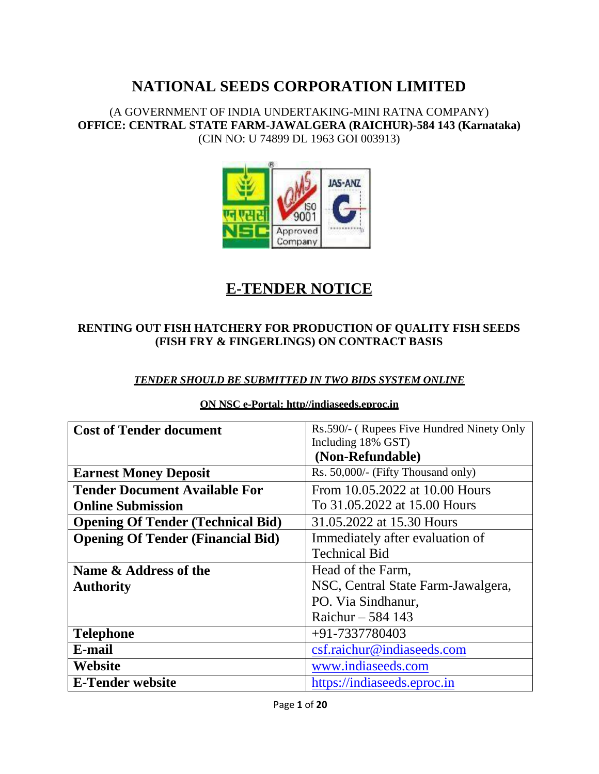(A GOVERNMENT OF INDIA UNDERTAKING-MINI RATNA COMPANY) **OFFICE: CENTRAL STATE FARM-JAWALGERA (RAICHUR)-584 143 (Karnataka)** (CIN NO: U 74899 DL 1963 GOI 003913)



# **E-TENDER NOTICE**

## **RENTING OUT FISH HATCHERY FOR PRODUCTION OF QUALITY FISH SEEDS (FISH FRY & FINGERLINGS) ON CONTRACT BASIS**

## *TENDER SHOULD BE SUBMITTED IN TWO BIDS SYSTEM ONLINE*

| <b>Cost of Tender document</b>           | Rs.590/- (Rupees Five Hundred Ninety Only |  |
|------------------------------------------|-------------------------------------------|--|
|                                          | Including 18% GST)                        |  |
|                                          | (Non-Refundable)                          |  |
| <b>Earnest Money Deposit</b>             | Rs. 50,000/- (Fifty Thousand only)        |  |
| <b>Tender Document Available For</b>     | From 10.05.2022 at 10.00 Hours            |  |
| <b>Online Submission</b>                 | To 31.05.2022 at 15.00 Hours              |  |
| <b>Opening Of Tender (Technical Bid)</b> | 31.05.2022 at 15.30 Hours                 |  |
| <b>Opening Of Tender (Financial Bid)</b> | Immediately after evaluation of           |  |
|                                          | <b>Technical Bid</b>                      |  |
| Name & Address of the                    | Head of the Farm,                         |  |
| <b>Authority</b>                         | NSC, Central State Farm-Jawalgera,        |  |
|                                          | PO. Via Sindhanur,                        |  |
|                                          | Raichur $-584$ 143                        |  |
| <b>Telephone</b>                         | $+91-7337780403$                          |  |
| E-mail                                   | csf.raichur@indiaseeds.com                |  |
| Website                                  | www.indiaseeds.com                        |  |
| <b>E-Tender website</b>                  | https://indiaseeds.eproc.in               |  |

#### **ON NSC e-Portal: http//indiaseeds.eproc.in**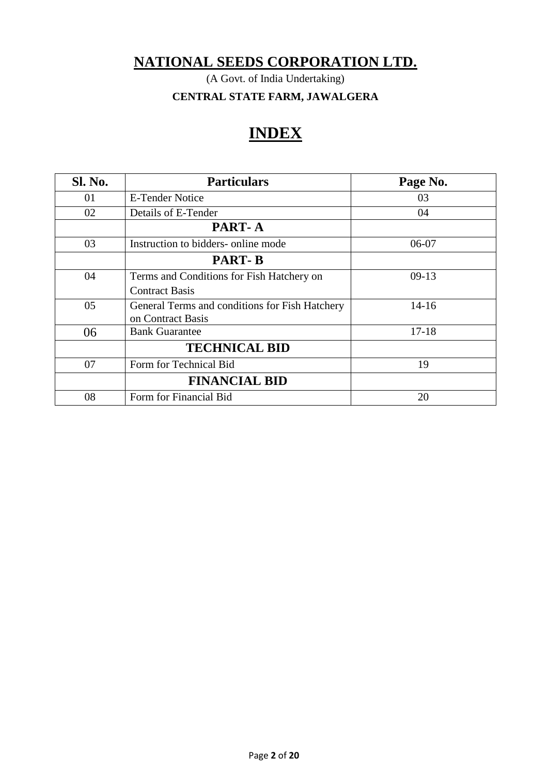(A Govt. of India Undertaking)

**CENTRAL STATE FARM, JAWALGERA**

# **INDEX**

| Sl. No. | <b>Particulars</b>                             | Page No.  |
|---------|------------------------------------------------|-----------|
| 01      | E-Tender Notice                                | 03        |
| 02      | Details of E-Tender                            | 04        |
|         | PART-A                                         |           |
| 03      | Instruction to bidders- online mode            | 06-07     |
|         | <b>PART-B</b>                                  |           |
| 04      | Terms and Conditions for Fish Hatchery on      | $09-13$   |
|         | <b>Contract Basis</b>                          |           |
| 05      | General Terms and conditions for Fish Hatchery | $14-16$   |
|         | on Contract Basis                              |           |
| 06      | <b>Bank Guarantee</b>                          | $17 - 18$ |
|         | <b>TECHNICAL BID</b>                           |           |
| 07      | Form for Technical Bid                         | 19        |
|         | <b>FINANCIAL BID</b>                           |           |
| 08      | Form for Financial Bid                         | 20        |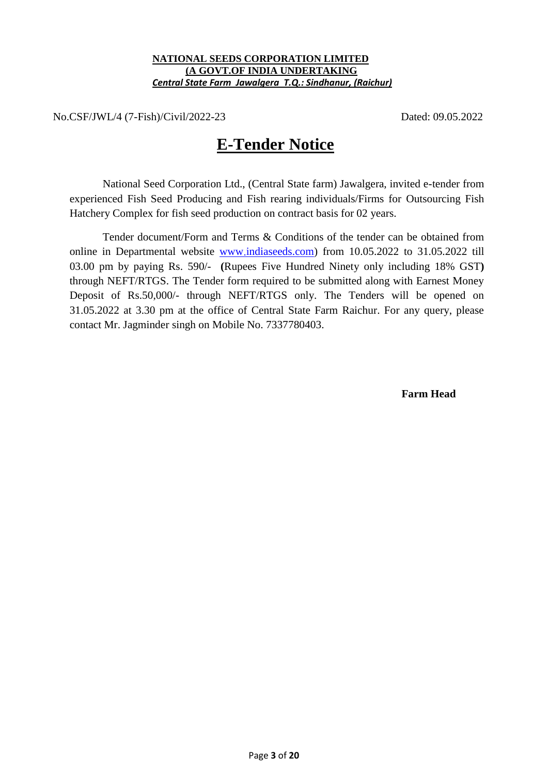#### **NATIONAL SEEDS CORPORATION LIMITED (A GOVT.OF INDIA UNDERTAKING**  *Central State Farm Jawalgera T.Q.: Sindhanur, (Raichur)*

No.CSF/JWL/4 (7-Fish)/Civil/2022-23 Dated: 09.05.2022

# **E-Tender Notice**

National Seed Corporation Ltd., (Central State farm) Jawalgera, invited e-tender from experienced Fish Seed Producing and Fish rearing individuals/Firms for Outsourcing Fish Hatchery Complex for fish seed production on contract basis for 02 years.

Tender document/Form and Terms & Conditions of the tender can be obtained from online in Departmental website www [indiaseeds.com\)](http://www.indiaseeds.com/) from 10.05.2022 to 31.05.2022 till 03.00 pm by paying Rs. 590/- **(**Rupees Five Hundred Ninety only including 18% GST**)** through NEFT/RTGS. The Tender form required to be submitted along with Earnest Money Deposit of Rs.50,000/- through NEFT/RTGS only. The Tenders will be opened on 31.05.2022 at 3.30 pm at the office of Central State Farm Raichur. For any query, please contact Mr. Jagminder singh on Mobile No. 7337780403.

 **Farm Head**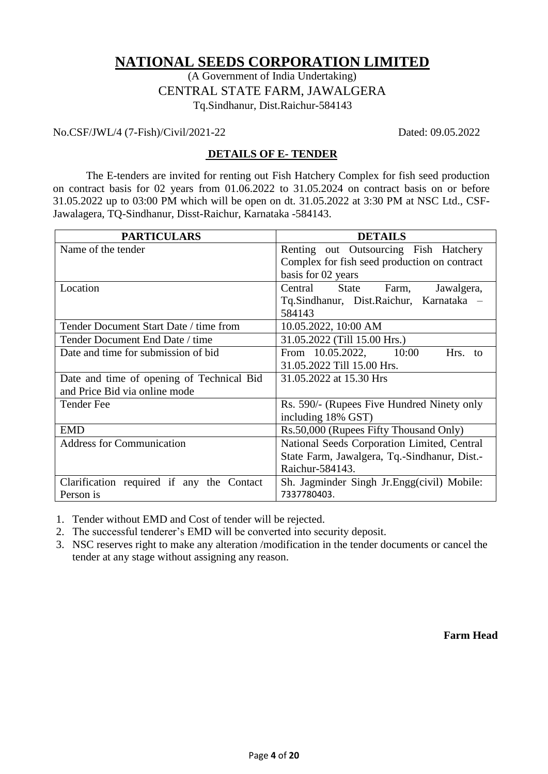(A Government of India Undertaking) CENTRAL STATE FARM, JAWALGERA Tq.Sindhanur, Dist.Raichur-584143

No.CSF/JWL/4 (7-Fish)/Civil/2021-22 Dated: 09.05.2022

### **DETAILS OF E- TENDER**

The E-tenders are invited for renting out Fish Hatchery Complex for fish seed production on contract basis for 02 years from 01.06.2022 to 31.05.2024 on contract basis on or before 31.05.2022 up to 03:00 PM which will be open on dt. 31.05.2022 at 3:30 PM at NSC Ltd., CSF-Jawalagera, TQ-Sindhanur, Disst-Raichur, Karnataka -584143.

| <b>PARTICULARS</b>                                                         | <b>DETAILS</b>                                                                        |  |  |
|----------------------------------------------------------------------------|---------------------------------------------------------------------------------------|--|--|
| Name of the tender                                                         | Renting out Outsourcing Fish Hatchery<br>Complex for fish seed production on contract |  |  |
|                                                                            | basis for 02 years                                                                    |  |  |
| Location                                                                   | Central State Farm,<br>Jawalgera,                                                     |  |  |
|                                                                            | Tq.Sindhanur, Dist.Raichur, Karnataka -<br>584143                                     |  |  |
| Tender Document Start Date / time from                                     | 10.05.2022, 10:00 AM                                                                  |  |  |
| Tender Document End Date / time                                            | 31.05.2022 (Till 15.00 Hrs.)                                                          |  |  |
| Date and time for submission of bid                                        | From 10.05.2022, 10:00<br>Hrs. to                                                     |  |  |
|                                                                            | 31.05.2022 Till 15.00 Hrs.                                                            |  |  |
| Date and time of opening of Technical Bid<br>and Price Bid via online mode | 31.05.2022 at 15.30 Hrs                                                               |  |  |
| <b>Tender Fee</b>                                                          | Rs. 590/- (Rupees Five Hundred Ninety only                                            |  |  |
|                                                                            | including 18% GST)                                                                    |  |  |
| <b>EMD</b>                                                                 | Rs.50,000 (Rupees Fifty Thousand Only)                                                |  |  |
| <b>Address for Communication</b>                                           | National Seeds Corporation Limited, Central                                           |  |  |
|                                                                            | State Farm, Jawalgera, Tq.-Sindhanur, Dist.-                                          |  |  |
|                                                                            | Raichur-584143.                                                                       |  |  |
| Clarification required if any the Contact<br>Person is                     | Sh. Jagminder Singh Jr. Engg(civil) Mobile:<br>7337780403.                            |  |  |

1. Tender without EMD and Cost of tender will be rejected.

2. The successful tenderer's EMD will be converted into security deposit.

3. NSC reserves right to make any alteration /modification in the tender documents or cancel the tender at any stage without assigning any reason.

**Farm Head**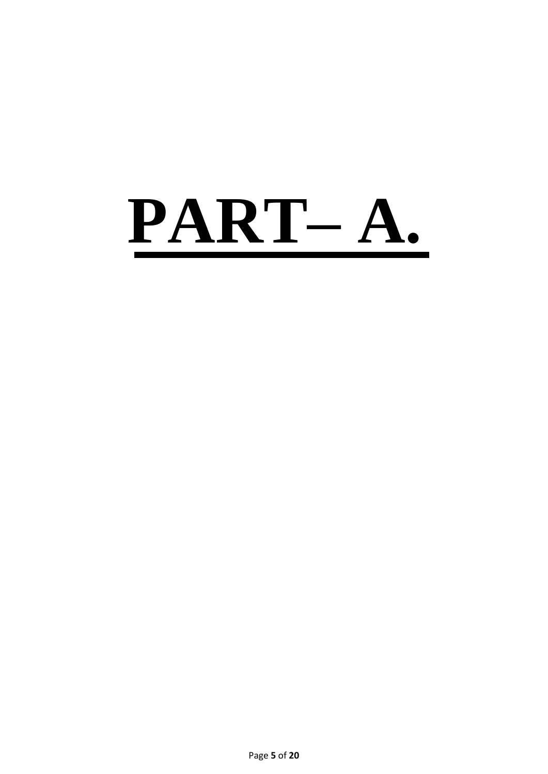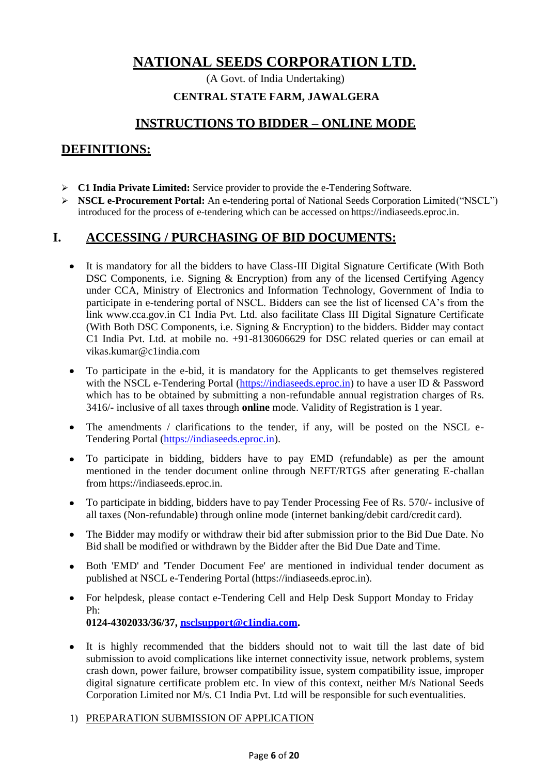(A Govt. of India Undertaking)

#### **CENTRAL STATE FARM, JAWALGERA**

# **INSTRUCTIONS TO BIDDER – ONLINE MODE**

# **DEFINITIONS:**

- **C1 India Private Limited:** Service provider to provide the e-Tendering Software.
- **NSCL e-Procurement Portal:** An e-tendering portal of National Seeds Corporation Limited("NSCL") introduced for the process of e-tendering which can be accessed on https://indiaseeds.eproc.in.

# **I. ACCESSING / PURCHASING OF BID DOCUMENTS:**

- $\bullet$ It is mandatory for all the bidders to have Class-III Digital Signature Certificate (With Both DSC Components, i.e. Signing & Encryption) from any of the licensed Certifying Agency under CCA, Ministry of Electronics and Information Technology, Government of India to participate in e-tendering portal of NSCL. Bidders can see the list of licensed CA's from the link [www.cca.gov.in](http://www.cca.gov.in/) C1 India Pvt. Ltd. also facilitate Class III Digital Signature Certificate (With Both DSC Components, i.e. Signing & Encryption) to the bidders. Bidder may contact C1 India Pvt. Ltd. at mobile no. +91-8130606629 for DSC related queries or can email a[t](mailto:vikas.kumar@c1india.com) [vikas.kumar@c1india.com](mailto:vikas.kumar@c1india.com)
- To participate in the e-bid, it is mandatory for the Applicants to get themselves registered  $\bullet$ with the NSCL e-Tendering Portal [\(https://indiaseeds.eproc.in\)](https://indiaseeds.eproc.in/) to have a user ID & Password which has to be obtained by submitting a non-refundable annual registration charges of Rs. 3416/- inclusive of all taxes through **online** mode. Validity of Registration is 1 year.
- The amendments / clarifications to the tender, if any, will be posted on the NSCL e- $\bullet$ Tendering Portal [\(https://indiaseeds.eproc.in\)](https://indiaseeds.eproc.in/).
- To participate in bidding, bidders have to pay EMD (refundable) as per the amount  $\bullet$ mentioned in the tender document online through NEFT/RTGS after generating E-challan from https://indiaseeds.eproc.in.
- To participate in bidding, bidders have to pay Tender Processing Fee of Rs. 570/- inclusive of  $\bullet$ all taxes (Non-refundable) through online mode (internet banking/debit card/credit card).
- The Bidder may modify or withdraw their bid after submission prior to the Bid Due Date. No  $\bullet$ Bid shall be modified or withdrawn by the Bidder after the Bid Due Date and Time.
- Both 'EMD' and 'Tender Document Fee' are mentioned in individual tender document as  $\bullet$ published at NSCL e-Tendering Portal (https://indiaseeds.eproc.in).
- $\bullet$ For helpdesk, please contact e-Tendering Cell and Help Desk Support Monday to Friday Ph: **0124-4302033/36/37, [nsclsupport@c1india.com.](mailto:nsclsupport@c1india.com)**
- $\bullet$ It is highly recommended that the bidders should not to wait till the last date of bid submission to avoid complications like internet connectivity issue, network problems, system crash down, power failure, browser compatibility issue, system compatibility issue, improper digital signature certificate problem etc. In view of this context, neither M/s National Seeds Corporation Limited nor M/s. C1 India Pvt. Ltd will be responsible for such eventualities.

#### 1) PREPARATION SUBMISSION OF APPLICATION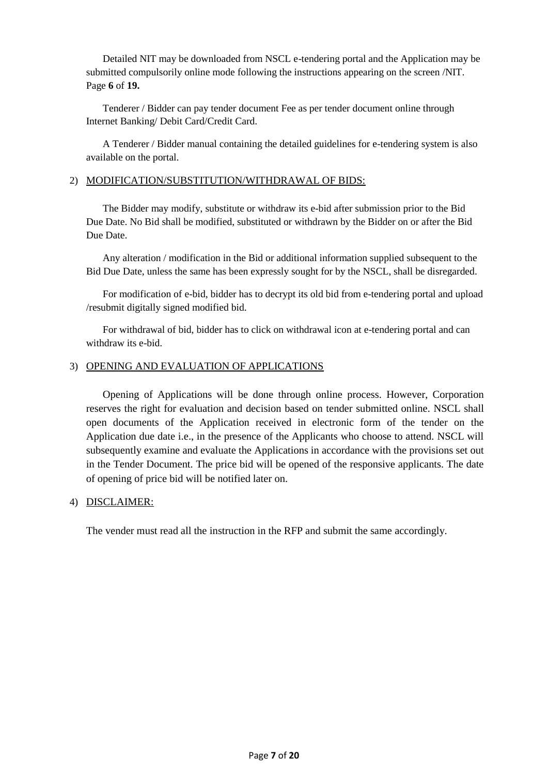Detailed NIT may be downloaded from NSCL e-tendering portal and the Application may be submitted compulsorily online mode following the instructions appearing on the screen /NIT. Page **6** of **19.**

Tenderer / Bidder can pay tender document Fee as per tender document online through Internet Banking/ Debit Card/Credit Card.

A Tenderer / Bidder manual containing the detailed guidelines for e-tendering system is also available on the portal.

#### 2) MODIFICATION/SUBSTITUTION/WITHDRAWAL OF BIDS:

The Bidder may modify, substitute or withdraw its e-bid after submission prior to the Bid Due Date. No Bid shall be modified, substituted or withdrawn by the Bidder on or after the Bid Due Date.

Any alteration / modification in the Bid or additional information supplied subsequent to the Bid Due Date, unless the same has been expressly sought for by the NSCL, shall be disregarded.

For modification of e-bid, bidder has to decrypt its old bid from e-tendering portal and upload /resubmit digitally signed modified bid.

For withdrawal of bid, bidder has to click on withdrawal icon at e-tendering portal and can withdraw its e-bid.

#### 3) OPENING AND EVALUATION OF APPLICATIONS

Opening of Applications will be done through online process. However, Corporation reserves the right for evaluation and decision based on tender submitted online. NSCL shall open documents of the Application received in electronic form of the tender on the Application due date i.e., in the presence of the Applicants who choose to attend. NSCL will subsequently examine and evaluate the Applications in accordance with the provisions set out in the Tender Document. The price bid will be opened of the responsive applicants. The date of opening of price bid will be notified later on.

#### 4) DISCLAIMER:

The vender must read all the instruction in the RFP and submit the same accordingly.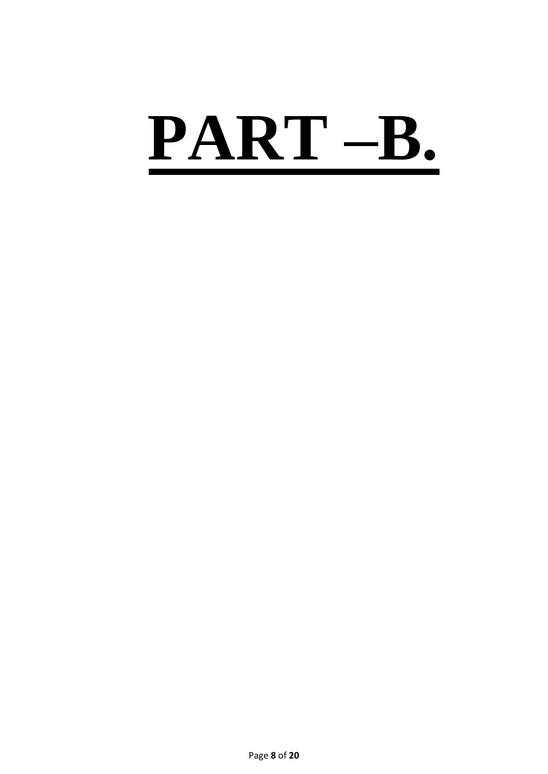# **PART –B.**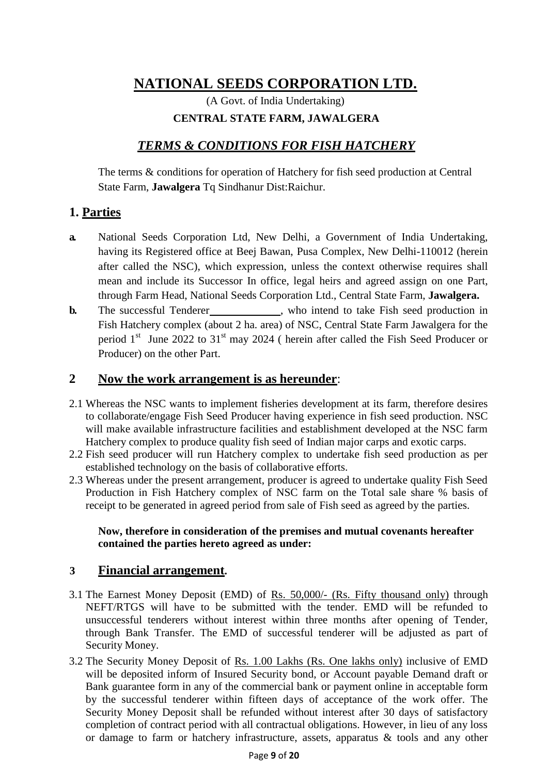(A Govt. of India Undertaking) **CENTRAL STATE FARM, JAWALGERA**

# *TERMS & CONDITIONS FOR FISH HATCHERY*

The terms & conditions for operation of Hatchery for fish seed production at Central State Farm, **Jawalgera** Tq Sindhanur Dist:Raichur.

# **1. Parties**

- **a.** National Seeds Corporation Ltd, New Delhi, a Government of India Undertaking, having its Registered office at Beej Bawan, Pusa Complex, New Delhi-110012 (herein after called the NSC), which expression, unless the context otherwise requires shall mean and include its Successor In office, legal heirs and agreed assign on one Part, through Farm Head, National Seeds Corporation Ltd., Central State Farm, **Jawalgera.**
- **b.** The successful Tenderer , who intend to take Fish seed production in Fish Hatchery complex (about 2 ha. area) of NSC, Central State Farm Jawalgera for the period  $1<sup>st</sup>$  June 2022 to 31<sup>st</sup> may 2024 ( herein after called the Fish Seed Producer or Producer) on the other Part.

## **2 Now the work arrangement is as hereunder**:

- 2.1 Whereas the NSC wants to implement fisheries development at its farm, therefore desires to collaborate/engage Fish Seed Producer having experience in fish seed production. NSC will make available infrastructure facilities and establishment developed at the NSC farm Hatchery complex to produce quality fish seed of Indian major carps and exotic carps.
- 2.2 Fish seed producer will run Hatchery complex to undertake fish seed production as per established technology on the basis of collaborative efforts.
- 2.3 Whereas under the present arrangement, producer is agreed to undertake quality Fish Seed Production in Fish Hatchery complex of NSC farm on the Total sale share % basis of receipt to be generated in agreed period from sale of Fish seed as agreed by the parties.

#### **Now, therefore in consideration of the premises and mutual covenants hereafter contained the parties hereto agreed as under:**

## **3 Financial arrangement.**

- 3.1 The Earnest Money Deposit (EMD) of Rs. 50,000/- (Rs. Fifty thousand only) through NEFT/RTGS will have to be submitted with the tender. EMD will be refunded to unsuccessful tenderers without interest within three months after opening of Tender, through Bank Transfer. The EMD of successful tenderer will be adjusted as part of Security Money.
- 3.2 The Security Money Deposit of Rs. 1.00 Lakhs (Rs. One lakhs only) inclusive of EMD will be deposited inform of Insured Security bond, or Account payable Demand draft or Bank guarantee form in any of the commercial bank or payment online in acceptable form by the successful tenderer within fifteen days of acceptance of the work offer. The Security Money Deposit shall be refunded without interest after 30 days of satisfactory completion of contract period with all contractual obligations. However, in lieu of any loss or damage to farm or hatchery infrastructure, assets, apparatus & tools and any other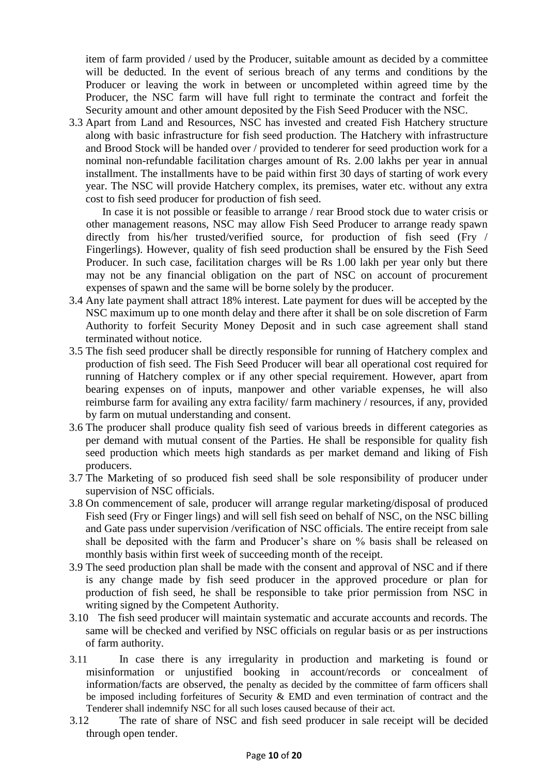item of farm provided / used by the Producer, suitable amount as decided by a committee will be deducted. In the event of serious breach of any terms and conditions by the Producer or leaving the work in between or uncompleted within agreed time by the Producer, the NSC farm will have full right to terminate the contract and forfeit the Security amount and other amount deposited by the Fish Seed Producer with the NSC.

3.3 Apart from Land and Resources, NSC has invested and created Fish Hatchery structure along with basic infrastructure for fish seed production. The Hatchery with infrastructure and Brood Stock will be handed over / provided to tenderer for seed production work for a nominal non-refundable facilitation charges amount of Rs. 2.00 lakhs per year in annual installment. The installments have to be paid within first 30 days of starting of work every year. The NSC will provide Hatchery complex, its premises, water etc. without any extra cost to fish seed producer for production of fish seed.

In case it is not possible or feasible to arrange / rear Brood stock due to water crisis or other management reasons, NSC may allow Fish Seed Producer to arrange ready spawn directly from his/her trusted/verified source, for production of fish seed (Fry / Fingerlings). However, quality of fish seed production shall be ensured by the Fish Seed Producer. In such case, facilitation charges will be Rs 1.00 lakh per year only but there may not be any financial obligation on the part of NSC on account of procurement expenses of spawn and the same will be borne solely by the producer.

- 3.4 Any late payment shall attract 18% interest. Late payment for dues will be accepted by the NSC maximum up to one month delay and there after it shall be on sole discretion of Farm Authority to forfeit Security Money Deposit and in such case agreement shall stand terminated without notice.
- 3.5 The fish seed producer shall be directly responsible for running of Hatchery complex and production of fish seed. The Fish Seed Producer will bear all operational cost required for running of Hatchery complex or if any other special requirement. However, apart from bearing expenses on of inputs, manpower and other variable expenses, he will also reimburse farm for availing any extra facility/ farm machinery / resources, if any, provided by farm on mutual understanding and consent.
- 3.6 The producer shall produce quality fish seed of various breeds in different categories as per demand with mutual consent of the Parties. He shall be responsible for quality fish seed production which meets high standards as per market demand and liking of Fish producers.
- 3.7 The Marketing of so produced fish seed shall be sole responsibility of producer under supervision of NSC officials.
- 3.8 On commencement of sale, producer will arrange regular marketing/disposal of produced Fish seed (Fry or Finger lings) and will sell fish seed on behalf of NSC, on the NSC billing and Gate pass under supervision /verification of NSC officials. The entire receipt from sale shall be deposited with the farm and Producer's share on % basis shall be released on monthly basis within first week of succeeding month of the receipt.
- 3.9 The seed production plan shall be made with the consent and approval of NSC and if there is any change made by fish seed producer in the approved procedure or plan for production of fish seed, he shall be responsible to take prior permission from NSC in writing signed by the Competent Authority.
- 3.10 The fish seed producer will maintain systematic and accurate accounts and records. The same will be checked and verified by NSC officials on regular basis or as per instructions of farm authority.
- 3.11 In case there is any irregularity in production and marketing is found or misinformation or unjustified booking in account/records or concealment of information/facts are observed, the penalty as decided by the committee of farm officers shall be imposed including forfeitures of Security & EMD and even termination of contract and the Tenderer shall indemnify NSC for all such loses caused because of their act.
- 3.12 The rate of share of NSC and fish seed producer in sale receipt will be decided through open tender.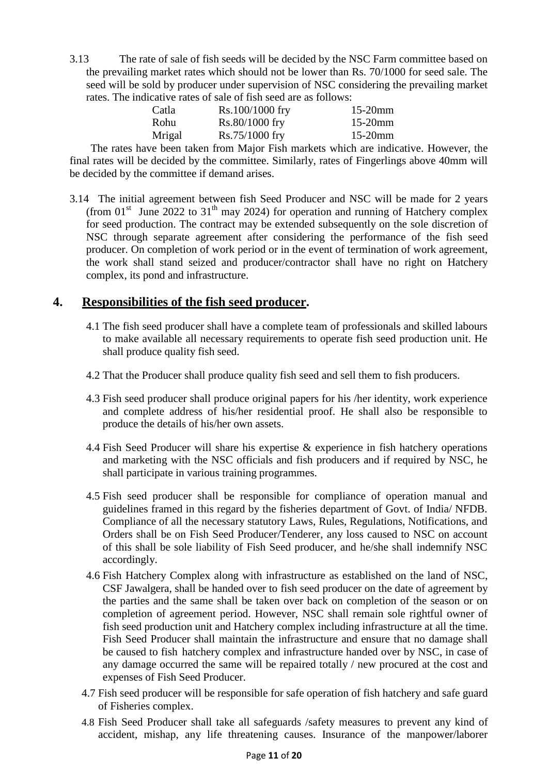3.13 The rate of sale of fish seeds will be decided by the NSC Farm committee based on the prevailing market rates which should not be lower than Rs. 70/1000 for seed sale. The seed will be sold by producer under supervision of NSC considering the prevailing market rates. The indicative rates of sale of fish seed are as follows:

| Catla  | Rs.100/1000 fry | $15-20$ mm |
|--------|-----------------|------------|
| Rohu   | Rs.80/1000 fry  | $15-20$ mm |
| Mrigal | Rs.75/1000 fry  | $15-20$ mm |

The rates have been taken from Major Fish markets which are indicative. However, the final rates will be decided by the committee. Similarly, rates of Fingerlings above 40mm will be decided by the committee if demand arises.

3.14 The initial agreement between fish Seed Producer and NSC will be made for 2 years (from  $01<sup>st</sup>$  June 2022 to 31<sup>th</sup> may 2024) for operation and running of Hatchery complex for seed production. The contract may be extended subsequently on the sole discretion of NSC through separate agreement after considering the performance of the fish seed producer. On completion of work period or in the event of termination of work agreement, the work shall stand seized and producer/contractor shall have no right on Hatchery complex, its pond and infrastructure.

## **4. Responsibilities of the fish seed producer.**

- 4.1 The fish seed producer shall have a complete team of professionals and skilled labours to make available all necessary requirements to operate fish seed production unit. He shall produce quality fish seed.
- 4.2 That the Producer shall produce quality fish seed and sell them to fish producers.
- 4.3 Fish seed producer shall produce original papers for his /her identity, work experience and complete address of his/her residential proof. He shall also be responsible to produce the details of his/her own assets.
- 4.4 Fish Seed Producer will share his expertise & experience in fish hatchery operations and marketing with the NSC officials and fish producers and if required by NSC, he shall participate in various training programmes.
- 4.5 Fish seed producer shall be responsible for compliance of operation manual and guidelines framed in this regard by the fisheries department of Govt. of India/ NFDB. Compliance of all the necessary statutory Laws, Rules, Regulations, Notifications, and Orders shall be on Fish Seed Producer/Tenderer, any loss caused to NSC on account of this shall be sole liability of Fish Seed producer, and he/she shall indemnify NSC accordingly.
- 4.6 Fish Hatchery Complex along with infrastructure as established on the land of NSC, CSF Jawalgera, shall be handed over to fish seed producer on the date of agreement by the parties and the same shall be taken over back on completion of the season or on completion of agreement period. However, NSC shall remain sole rightful owner of fish seed production unit and Hatchery complex including infrastructure at all the time. Fish Seed Producer shall maintain the infrastructure and ensure that no damage shall be caused to fish hatchery complex and infrastructure handed over by NSC, in case of any damage occurred the same will be repaired totally / new procured at the cost and expenses of Fish Seed Producer.
- 4.7 Fish seed producer will be responsible for safe operation of fish hatchery and safe guard of Fisheries complex.
- 4.8 Fish Seed Producer shall take all safeguards /safety measures to prevent any kind of accident, mishap, any life threatening causes. Insurance of the manpower/laborer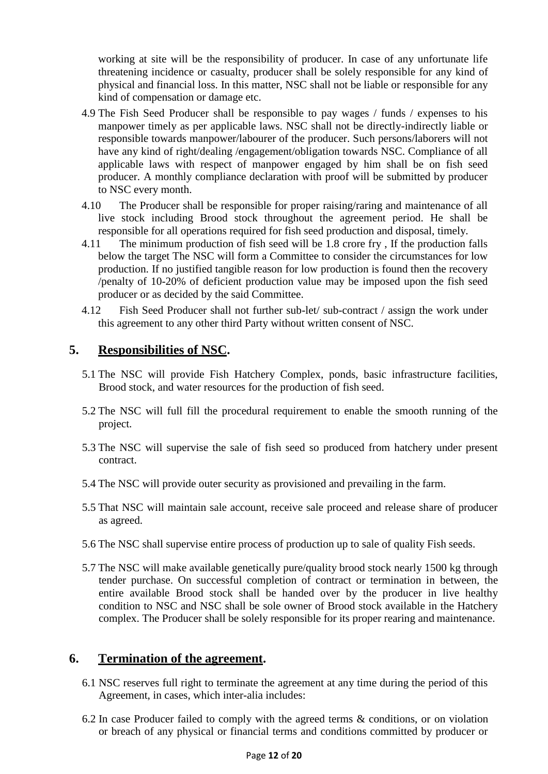working at site will be the responsibility of producer. In case of any unfortunate life threatening incidence or casualty, producer shall be solely responsible for any kind of physical and financial loss. In this matter, NSC shall not be liable or responsible for any kind of compensation or damage etc.

- 4.9 The Fish Seed Producer shall be responsible to pay wages / funds / expenses to his manpower timely as per applicable laws. NSC shall not be directly-indirectly liable or responsible towards manpower/labourer of the producer. Such persons/laborers will not have any kind of right/dealing /engagement/obligation towards NSC. Compliance of all applicable laws with respect of manpower engaged by him shall be on fish seed producer. A monthly compliance declaration with proof will be submitted by producer to NSC every month.
- 4.10 The Producer shall be responsible for proper raising/raring and maintenance of all live stock including Brood stock throughout the agreement period. He shall be responsible for all operations required for fish seed production and disposal, timely.
- 4.11 The minimum production of fish seed will be 1.8 crore fry , If the production falls below the target The NSC will form a Committee to consider the circumstances for low production. If no justified tangible reason for low production is found then the recovery /penalty of 10-20% of deficient production value may be imposed upon the fish seed producer or as decided by the said Committee.
- 4.12 Fish Seed Producer shall not further sub-let/ sub-contract / assign the work under this agreement to any other third Party without written consent of NSC.

# **5. Responsibilities of NSC.**

- 5.1 The NSC will provide Fish Hatchery Complex, ponds, basic infrastructure facilities, Brood stock, and water resources for the production of fish seed.
- 5.2 The NSC will full fill the procedural requirement to enable the smooth running of the project.
- 5.3 The NSC will supervise the sale of fish seed so produced from hatchery under present contract.
- 5.4 The NSC will provide outer security as provisioned and prevailing in the farm.
- 5.5 That NSC will maintain sale account, receive sale proceed and release share of producer as agreed.
- 5.6 The NSC shall supervise entire process of production up to sale of quality Fish seeds.
- 5.7 The NSC will make available genetically pure/quality brood stock nearly 1500 kg through tender purchase. On successful completion of contract or termination in between, the entire available Brood stock shall be handed over by the producer in live healthy condition to NSC and NSC shall be sole owner of Brood stock available in the Hatchery complex. The Producer shall be solely responsible for its proper rearing and maintenance.

## **6. Termination of the agreement.**

- 6.1 NSC reserves full right to terminate the agreement at any time during the period of this Agreement, in cases, which inter-alia includes:
- 6.2 In case Producer failed to comply with the agreed terms & conditions, or on violation or breach of any physical or financial terms and conditions committed by producer or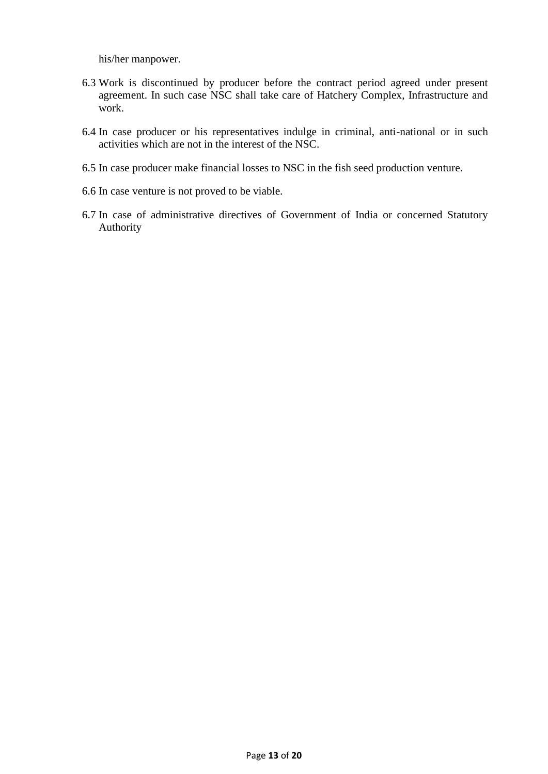his/her manpower.

- 6.3 Work is discontinued by producer before the contract period agreed under present agreement. In such case NSC shall take care of Hatchery Complex, Infrastructure and work.
- 6.4 In case producer or his representatives indulge in criminal, anti-national or in such activities which are not in the interest of the NSC.
- 6.5 In case producer make financial losses to NSC in the fish seed production venture.
- 6.6 In case venture is not proved to be viable.
- 6.7 In case of administrative directives of Government of India or concerned Statutory Authority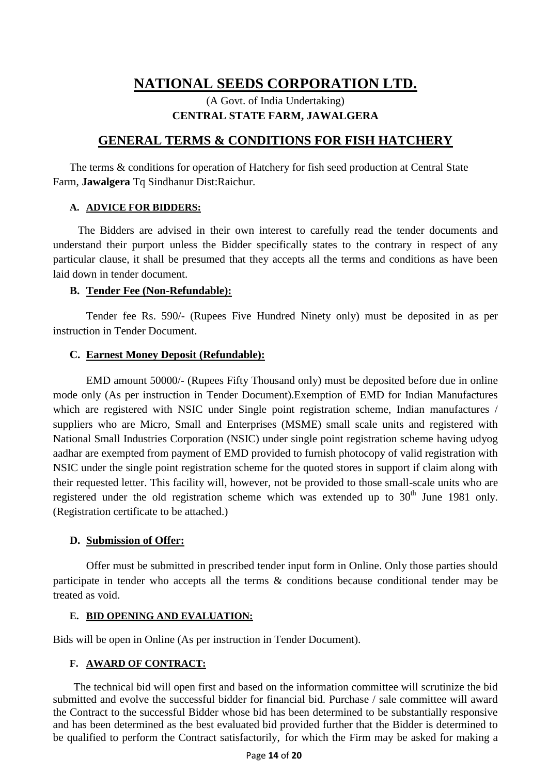## (A Govt. of India Undertaking) **CENTRAL STATE FARM, JAWALGERA**

## **GENERAL TERMS & CONDITIONS FOR FISH HATCHERY**

The terms & conditions for operation of Hatchery for fish seed production at Central State Farm, **Jawalgera** Tq Sindhanur Dist:Raichur.

#### **A. ADVICE FOR BIDDERS:**

The Bidders are advised in their own interest to carefully read the tender documents and understand their purport unless the Bidder specifically states to the contrary in respect of any particular clause, it shall be presumed that they accepts all the terms and conditions as have been laid down in tender document.

#### **B. Tender Fee (Non-Refundable):**

Tender fee Rs. 590/- (Rupees Five Hundred Ninety only) must be deposited in as per instruction in Tender Document.

#### **C. Earnest Money Deposit (Refundable):**

EMD amount 50000/- (Rupees Fifty Thousand only) must be deposited before due in online mode only (As per instruction in Tender Document).Exemption of EMD for Indian Manufactures which are registered with NSIC under Single point registration scheme, Indian manufactures / suppliers who are Micro, Small and Enterprises (MSME) small scale units and registered with National Small Industries Corporation (NSIC) under single point registration scheme having udyog aadhar are exempted from payment of EMD provided to furnish photocopy of valid registration with NSIC under the single point registration scheme for the quoted stores in support if claim along with their requested letter. This facility will, however, not be provided to those small-scale units who are registered under the old registration scheme which was extended up to  $30<sup>th</sup>$  June 1981 only. (Registration certificate to be attached.)

#### **D. Submission of Offer:**

Offer must be submitted in prescribed tender input form in Online. Only those parties should participate in tender who accepts all the terms & conditions because conditional tender may be treated as void.

#### **E. BID OPENING AND EVALUATION:**

Bids will be open in Online (As per instruction in Tender Document).

#### **F. AWARD OF CONTRACT:**

The technical bid will open first and based on the information committee will scrutinize the bid submitted and evolve the successful bidder for financial bid. Purchase / sale committee will award the Contract to the successful Bidder whose bid has been determined to be substantially responsive and has been determined as the best evaluated bid provided further that the Bidder is determined to be qualified to perform the Contract satisfactorily, for which the Firm may be asked for making a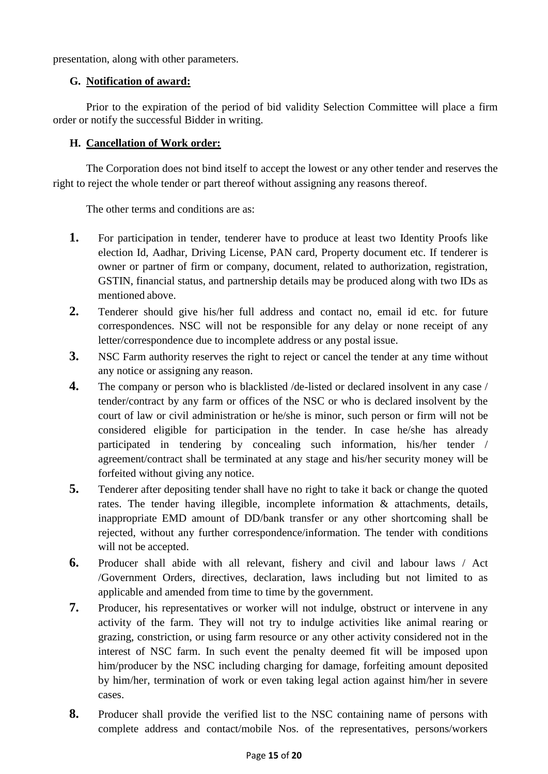presentation, along with other parameters.

#### **G. Notification of award:**

Prior to the expiration of the period of bid validity Selection Committee will place a firm order or notify the successful Bidder in writing.

### **H. Cancellation of Work order:**

The Corporation does not bind itself to accept the lowest or any other tender and reserves the right to reject the whole tender or part thereof without assigning any reasons thereof.

The other terms and conditions are as:

- **1.** For participation in tender, tenderer have to produce at least two Identity Proofs like election Id, Aadhar, Driving License, PAN card, Property document etc. If tenderer is owner or partner of firm or company, document, related to authorization, registration, GSTIN, financial status, and partnership details may be produced along with two IDs as mentioned above.
- **2.** Tenderer should give his/her full address and contact no, email id etc. for future correspondences. NSC will not be responsible for any delay or none receipt of any letter/correspondence due to incomplete address or any postal issue.
- **3.** NSC Farm authority reserves the right to reject or cancel the tender at any time without any notice or assigning any reason.
- **4.** The company or person who is blacklisted /de-listed or declared insolvent in any case / tender/contract by any farm or offices of the NSC or who is declared insolvent by the court of law or civil administration or he/she is minor, such person or firm will not be considered eligible for participation in the tender. In case he/she has already participated in tendering by concealing such information, his/her tender / agreement/contract shall be terminated at any stage and his/her security money will be forfeited without giving any notice.
- **5.** Tenderer after depositing tender shall have no right to take it back or change the quoted rates. The tender having illegible, incomplete information & attachments, details, inappropriate EMD amount of DD/bank transfer or any other shortcoming shall be rejected, without any further correspondence/information. The tender with conditions will not be accepted.
- **6.** Producer shall abide with all relevant, fishery and civil and labour laws / Act /Government Orders, directives, declaration, laws including but not limited to as applicable and amended from time to time by the government.
- **7.** Producer, his representatives or worker will not indulge, obstruct or intervene in any activity of the farm. They will not try to indulge activities like animal rearing or grazing, constriction, or using farm resource or any other activity considered not in the interest of NSC farm. In such event the penalty deemed fit will be imposed upon him/producer by the NSC including charging for damage, forfeiting amount deposited by him/her, termination of work or even taking legal action against him/her in severe cases.
- **8.** Producer shall provide the verified list to the NSC containing name of persons with complete address and contact/mobile Nos. of the representatives, persons/workers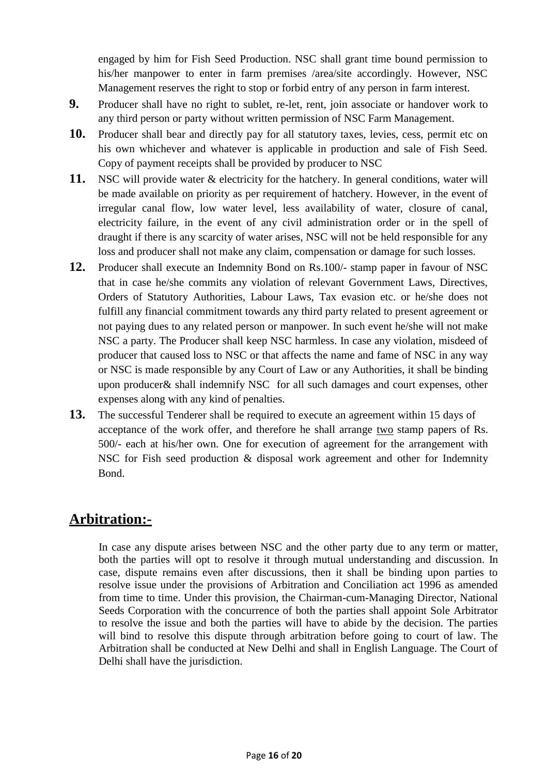engaged by him for Fish Seed Production. NSC shall grant time bound permission to his/her manpower to enter in farm premises /area/site accordingly. However, NSC Management reserves the right to stop or forbid entry of any person in farm interest.

- **9.** Producer shall have no right to sublet, re-let, rent, join associate or handover work to any third person or party without written permission of NSC Farm Management.
- **10.** Producer shall bear and directly pay for all statutory taxes, levies, cess, permit etc on his own whichever and whatever is applicable in production and sale of Fish Seed. Copy of payment receipts shall be provided by producer to NSC
- **11.** NSC will provide water & electricity for the hatchery. In general conditions, water will be made available on priority as per requirement of hatchery. However, in the event of irregular canal flow, low water level, less availability of water, closure of canal, electricity failure, in the event of any civil administration order or in the spell of draught if there is any scarcity of water arises, NSC will not be held responsible for any loss and producer shall not make any claim, compensation or damage for such losses.
- **12.** Producer shall execute an Indemnity Bond on Rs.100/- stamp paper in favour of NSC that in case he/she commits any violation of relevant Government Laws, Directives, Orders of Statutory Authorities, Labour Laws, Tax evasion etc. or he/she does not fulfill any financial commitment towards any third party related to present agreement or not paying dues to any related person or manpower. In such event he/she will not make NSC a party. The Producer shall keep NSC harmless. In case any violation, misdeed of producer that caused loss to NSC or that affects the name and fame of NSC in any way or NSC is made responsible by any Court of Law or any Authorities, it shall be binding upon producer& shall indemnify NSC for all such damages and court expenses, other expenses along with any kind of penalties.
- **13.** The successful Tenderer shall be required to execute an agreement within 15 days of acceptance of the work offer, and therefore he shall arrange two stamp papers of Rs. 500/- each at his/her own. One for execution of agreement for the arrangement with NSC for Fish seed production & disposal work agreement and other for Indemnity Bond.

# **Arbitration:-**

In case any dispute arises between NSC and the other party due to any term or matter, both the parties will opt to resolve it through mutual understanding and discussion. In case, dispute remains even after discussions, then it shall be binding upon parties to resolve issue under the provisions of Arbitration and Conciliation act 1996 as amended from time to time. Under this provision, the Chairman-cum-Managing Director, National Seeds Corporation with the concurrence of both the parties shall appoint Sole Arbitrator to resolve the issue and both the parties will have to abide by the decision. The parties will bind to resolve this dispute through arbitration before going to court of law. The Arbitration shall be conducted at New Delhi and shall in English Language. The Court of Delhi shall have the jurisdiction.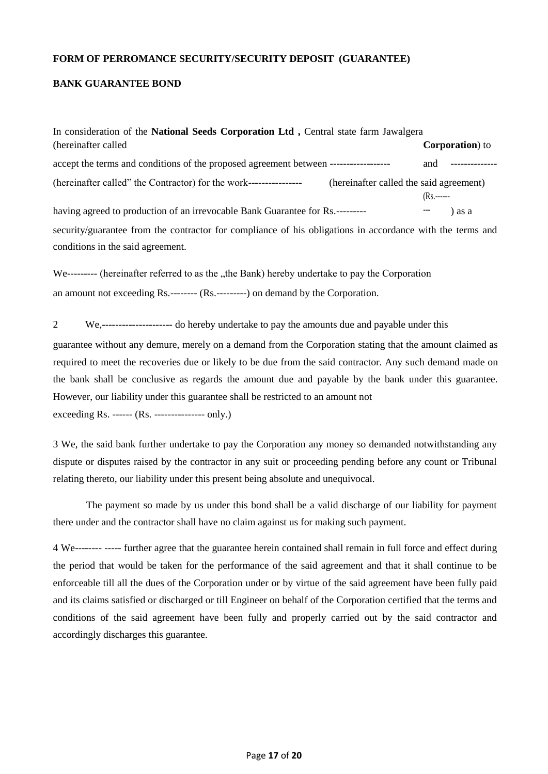#### **FORM OF PERROMANCE SECURITY/SECURITY DEPOSIT (GUARANTEE)**

#### **BANK GUARANTEE BOND**

| In consideration of the National Seeds Corporation Ltd, Central state farm Jawalgera                                                           |               |                         |
|------------------------------------------------------------------------------------------------------------------------------------------------|---------------|-------------------------|
| (hereinafter called)                                                                                                                           |               | <b>Corporation</b> ) to |
| accept the terms and conditions of the proposed agreement between ------------------                                                           | and           |                         |
| (hereinafter called" the Contractor) for the work------------------<br>(hereinafter called the said agreement)                                 | $(Rs, \dots)$ |                         |
| having agreed to production of an irrevocable Bank Guarantee for Rs.---------                                                                  |               | ) as a                  |
| security/guarantee from the contractor for compliance of his obligations in accordance with the terms and<br>conditions in the said agreement. |               |                         |

We--------- (hereinafter referred to as the "the Bank) hereby undertake to pay the Corporation an amount not exceeding Rs.-------- (Rs.---------) on demand by the Corporation.

2 We,--------------------- do hereby undertake to pay the amounts due and payable under this

guarantee without any demure, merely on a demand from the Corporation stating that the amount claimed as required to meet the recoveries due or likely to be due from the said contractor. Any such demand made on the bank shall be conclusive as regards the amount due and payable by the bank under this guarantee. However, our liability under this guarantee shall be restricted to an amount not

exceeding Rs. ------ (Rs. --------------- only.)

3 We, the said bank further undertake to pay the Corporation any money so demanded notwithstanding any dispute or disputes raised by the contractor in any suit or proceeding pending before any count or Tribunal relating thereto, our liability under this present being absolute and unequivocal.

The payment so made by us under this bond shall be a valid discharge of our liability for payment there under and the contractor shall have no claim against us for making such payment.

4 We-------- ----- further agree that the guarantee herein contained shall remain in full force and effect during the period that would be taken for the performance of the said agreement and that it shall continue to be enforceable till all the dues of the Corporation under or by virtue of the said agreement have been fully paid and its claims satisfied or discharged or till Engineer on behalf of the Corporation certified that the terms and conditions of the said agreement have been fully and properly carried out by the said contractor and accordingly discharges this guarantee.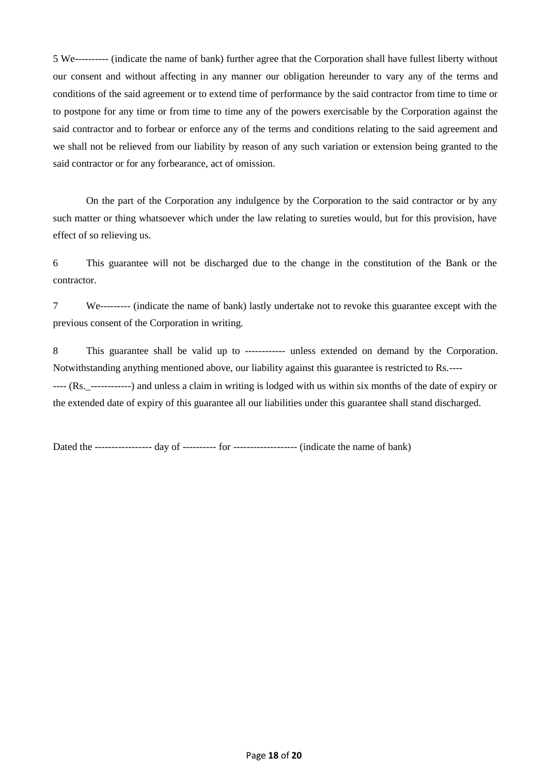5 We---------- (indicate the name of bank) further agree that the Corporation shall have fullest liberty without our consent and without affecting in any manner our obligation hereunder to vary any of the terms and conditions of the said agreement or to extend time of performance by the said contractor from time to time or to postpone for any time or from time to time any of the powers exercisable by the Corporation against the said contractor and to forbear or enforce any of the terms and conditions relating to the said agreement and we shall not be relieved from our liability by reason of any such variation or extension being granted to the said contractor or for any forbearance, act of omission.

On the part of the Corporation any indulgence by the Corporation to the said contractor or by any such matter or thing whatsoever which under the law relating to sureties would, but for this provision, have effect of so relieving us.

6 This guarantee will not be discharged due to the change in the constitution of the Bank or the contractor.

7 We--------- (indicate the name of bank) lastly undertake not to revoke this guarantee except with the previous consent of the Corporation in writing.

8 This guarantee shall be valid up to ------------ unless extended on demand by the Corporation. Notwithstanding anything mentioned above, our liability against this guarantee is restricted to Rs.---- ---- (Rs.\_------------) and unless a claim in writing is lodged with us within six months of the date of expiry or the extended date of expiry of this guarantee all our liabilities under this guarantee shall stand discharged.

Dated the ----------------- day of ---------- for ------------------- (indicate the name of bank)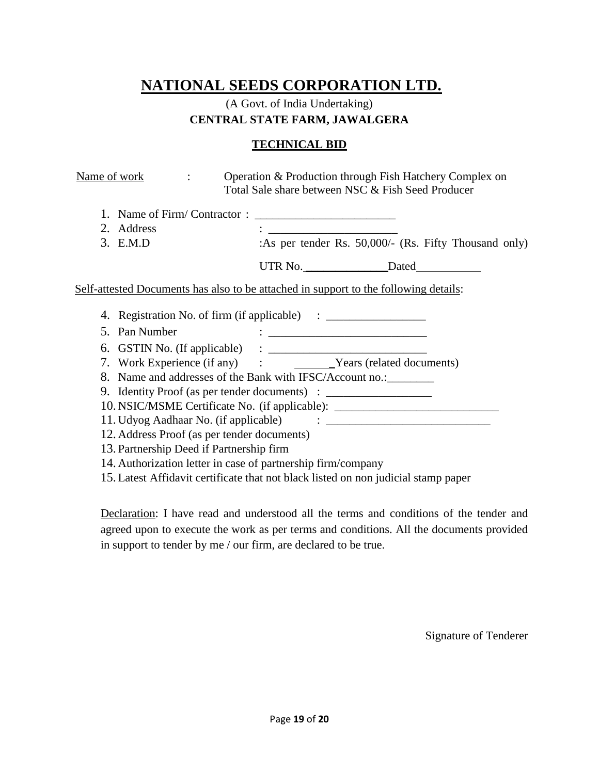## (A Govt. of India Undertaking) **CENTRAL STATE FARM, JAWALGERA**

#### **TECHNICAL BID**

| Name of work                                                                                                                                           | Operation & Production through Fish Hatchery Complex on<br>Total Sale share between NSC & Fish Seed Producer |                                                       |
|--------------------------------------------------------------------------------------------------------------------------------------------------------|--------------------------------------------------------------------------------------------------------------|-------------------------------------------------------|
| 2. Address<br>3. E.M.D                                                                                                                                 |                                                                                                              | :As per tender Rs. 50,000/- (Rs. Fifty Thousand only) |
|                                                                                                                                                        |                                                                                                              |                                                       |
| Self-attested Documents has also to be attached in support to the following details:                                                                   |                                                                                                              |                                                       |
| 4. Registration No. of firm (if applicable) : __________________________________<br>5. Pan Number                                                      | <u> 1986 - John Stone, Amerikaansk politiker († 1908)</u>                                                    |                                                       |
|                                                                                                                                                        |                                                                                                              |                                                       |
| 8. Name and addresses of the Bank with IFSC/Account no.: _________<br>9. Identity Proof (as per tender documents) : __________________________________ |                                                                                                              |                                                       |
| 10. NSIC/MSME Certificate No. (if applicable): _________________________________                                                                       |                                                                                                              |                                                       |
| 12. Address Proof (as per tender documents)                                                                                                            |                                                                                                              |                                                       |
| 13. Partnership Deed if Partnership firm                                                                                                               |                                                                                                              |                                                       |
| 14. Authorization letter in case of partnership firm/company                                                                                           |                                                                                                              |                                                       |
| 15. Latest Affidavit certificate that not black listed on non judicial stamp paper                                                                     |                                                                                                              |                                                       |

Declaration: I have read and understood all the terms and conditions of the tender and agreed upon to execute the work as per terms and conditions. All the documents provided in support to tender by me / our firm, are declared to be true.

Signature of Tenderer